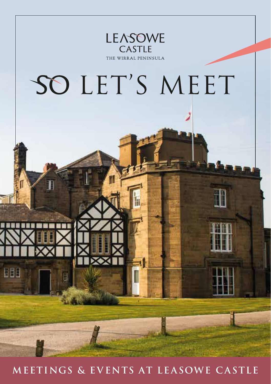

**MEETINGS & EVENTS AT LEASOWE CASTLE**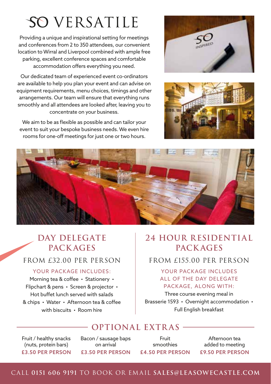## SO VERSATILE

Providing a unique and inspirational setting for meetings and conferences from 2 to 350 attendees, our convenient location to Wirral and Liverpool combined with ample free parking, excellent conference spaces and comfortable accommodation offers everything you need.

Our dedicated team of experienced event co-ordinators are available to help you plan your event and can advise on equipment requirements, menu choices, timings and other arrangements. Our team will ensure that everything runs smoothly and all attendees are looked after, leaving you to concentrate on your business.

We aim to be as flexible as possible and can tailor your event to suit your bespoke business needs. We even hire rooms for one-off meetings for just one or two hours.







#### **DAY DELEGATE PACK AGES**

#### YOUR PACKAGE INCLUDES:

Morning tea & coffee · Stationery · Flipchart & pens • Screen & projector • Hot buffet lunch served with salads & chips • Water • Afternoon tea & coffee with biscuits • Room hire

#### **24 HOUR RESIDENTIAL PACK AGES**

#### FROM £32.00 PER PERSON FROM £155.00 PER PERSON

#### YOUR PACKAGE INCLUDES ALL OF THE DAY DFI FGATE PACKAGE, ALONG WITH:

Three course evening meal in Brasserie 1593 • Overnight accommodation • Full English breakfast

#### **OPTIONAL EXTR AS**

Fruit / healthy snacks (nuts, protein bars) £3.50 PER PERSON Bacon / sausage baps on arrival £3.50 PER PERSON

Fruit smoothies £4.50 PER PERSON

Afternoon tea added to meeting £9.50 PER PERSON

#### CALL **0151 606 9191** TO BOOK OR EMAIL **SALES@LEASOWECASTLE.COM**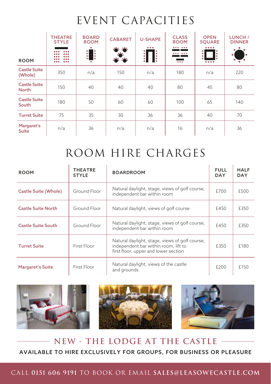### EVENT CAPACITIES

|                                     | <b>THEATRE</b><br><b>STYLE</b> | <b>BOARD</b><br><b>ROOM</b><br>$\ddot{\phantom{a}}$ | <b>CABARET</b> | <b>U-SHAPE</b><br>$\bullet\bullet\bullet$ | <b>CLASS</b><br><b>ROOM</b><br>$\bullet\bullet\bullet$<br>$$ | <b>OPEN</b><br><b>SQUARE</b><br><br>$\ddot{\cdot}$<br>۰ | LUNCH /<br><b>DINNER</b><br>۰ |
|-------------------------------------|--------------------------------|-----------------------------------------------------|----------------|-------------------------------------------|--------------------------------------------------------------|---------------------------------------------------------|-------------------------------|
| <b>ROOM</b>                         | <br><br>                       | I:                                                  | <b>SAN</b>     | <b>B</b><br>$\vdots$                      | $\bullet\bullet\bullet$                                      | ٠<br>0.0.0.0                                            |                               |
| <b>Castle Suite</b><br>(Whole)      | 350                            | n/a                                                 | 150            | n/a                                       | 180                                                          | n/a                                                     | 220                           |
| <b>Castle Suite</b><br><b>North</b> | 150                            | 40                                                  | 40             | 40                                        | 80                                                           | 45                                                      | 80                            |
| <b>Castle Suite</b><br>South        | 180                            | 50                                                  | 60             | 60                                        | 100                                                          | 65                                                      | 140                           |
| <b>Turret Suite</b>                 | 75                             | 35                                                  | 30             | 36                                        | 36                                                           | 40                                                      | 70                            |
| Margaret's<br><b>Suite</b>          | n/a                            | 36                                                  | n/a            | n/a                                       | 16                                                           | n/a                                                     | 36                            |

## ROOM HIRE CHARGES

| <b>ROOM</b>                 | <b>THEATRE</b><br><b>STYLE</b> | <b>BOARDROOM</b>                                                                                                               | <b>FULL</b><br><b>DAY</b> | <b>HALF</b><br><b>DAY</b> |
|-----------------------------|--------------------------------|--------------------------------------------------------------------------------------------------------------------------------|---------------------------|---------------------------|
| <b>Castle Suite (Whole)</b> | Ground Floor                   | Natural daylight, stage, views of golf course,<br>independent bar within room                                                  | £700                      | £500                      |
| <b>Castle Suite North</b>   | Ground Floor                   | Natural daylight, views of golf course                                                                                         | £450                      | £350                      |
| <b>Castle Suite South</b>   | Ground Floor                   | Natural daylight, stage, views of golf course,<br>independent bar within room                                                  | £450                      | £350                      |
| <b>Turret Suite</b>         | First Floor                    | Natural daylight, stage, views of golf course,<br>independent bar within room, lift to<br>first floor, upper and lower section | £350                      | £180                      |
| <b>Margaret's Suite</b>     | First Floor                    | Natural daylight, views of the castle<br>and grounds                                                                           | £200                      | £150                      |



#### **NEW - THE LODGE AT THE CASTLE** AVAILABLE TO HIRE EXCLUSIVELY FOR GROUPS, FOR BUSINESS OR PLEASURE

#### CALL **0151 606 9191** TO BOOK OR EMAIL **SALES@LEASOWECASTLE.COM**